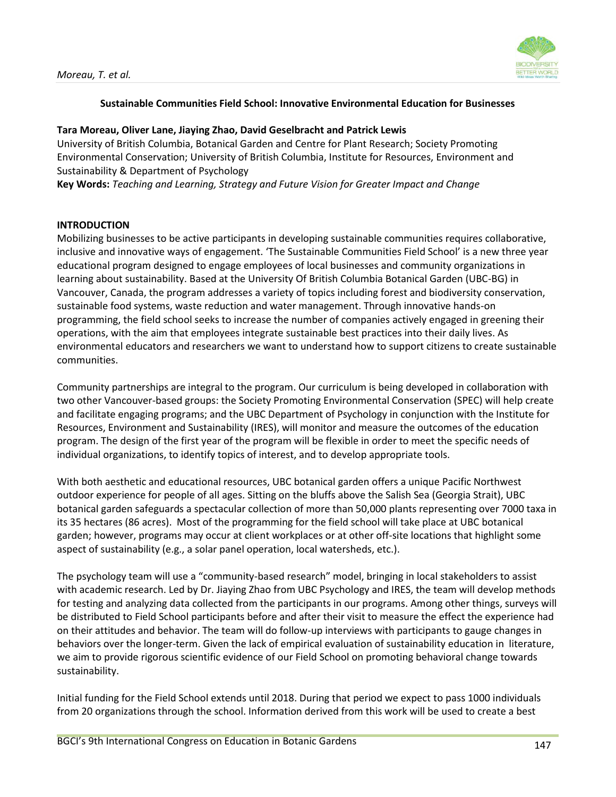

# **Sustainable Communities Field School: Innovative Environmental Education for Businesses**

### **Tara Moreau, Oliver Lane, Jiaying Zhao, David Geselbracht and Patrick Lewis**

University of British Columbia, Botanical Garden and Centre for Plant Research; Society Promoting Environmental Conservation; University of British Columbia, Institute for Resources, Environment and Sustainability & Department of Psychology

**Key Words:** *Teaching and Learning, Strategy and Future Vision for Greater Impact and Change* 

### **INTRODUCTION**

Mobilizing businesses to be active participants in developing sustainable communities requires collaborative, inclusive and innovative ways of engagement. 'The Sustainable Communities Field School' is a new three year educational program designed to engage employees of local businesses and community organizations in learning about sustainability. Based at the University Of British Columbia Botanical Garden (UBC-BG) in Vancouver, Canada, the program addresses a variety of topics including forest and biodiversity conservation, sustainable food systems, waste reduction and water management. Through innovative hands-on programming, the field school seeks to increase the number of companies actively engaged in greening their operations, with the aim that employees integrate sustainable best practices into their daily lives. As environmental educators and researchers we want to understand how to support citizens to create sustainable communities.

Community partnerships are integral to the program. Our curriculum is being developed in collaboration with two other Vancouver-based groups: the Society Promoting Environmental Conservation (SPEC) will help create and facilitate engaging programs; and the UBC Department of Psychology in conjunction with the Institute for Resources, Environment and Sustainability (IRES), will monitor and measure the outcomes of the education program. The design of the first year of the program will be flexible in order to meet the specific needs of individual organizations, to identify topics of interest, and to develop appropriate tools.

With both aesthetic and educational resources, UBC botanical garden offers a unique Pacific Northwest outdoor experience for people of all ages. Sitting on the bluffs above the Salish Sea (Georgia Strait), UBC botanical garden safeguards a spectacular collection of more than 50,000 plants representing over 7000 taxa in its 35 hectares (86 acres). Most of the programming for the field school will take place at UBC botanical garden; however, programs may occur at client workplaces or at other off-site locations that highlight some aspect of sustainability (e.g., a solar panel operation, local watersheds, etc.).

The psychology team will use a "community-based research" model, bringing in local stakeholders to assist with academic research. Led by Dr. Jiaying Zhao from UBC Psychology and IRES, the team will develop methods for testing and analyzing data collected from the participants in our programs. Among other things, surveys will be distributed to Field School participants before and after their visit to measure the effect the experience had on their attitudes and behavior. The team will do follow-up interviews with participants to gauge changes in behaviors over the longer-term. Given the lack of empirical evaluation of sustainability education in literature, we aim to provide rigorous scientific evidence of our Field School on promoting behavioral change towards sustainability.

Initial funding for the Field School extends until 2018. During that period we expect to pass 1000 individuals from 20 organizations through the school. Information derived from this work will be used to create a best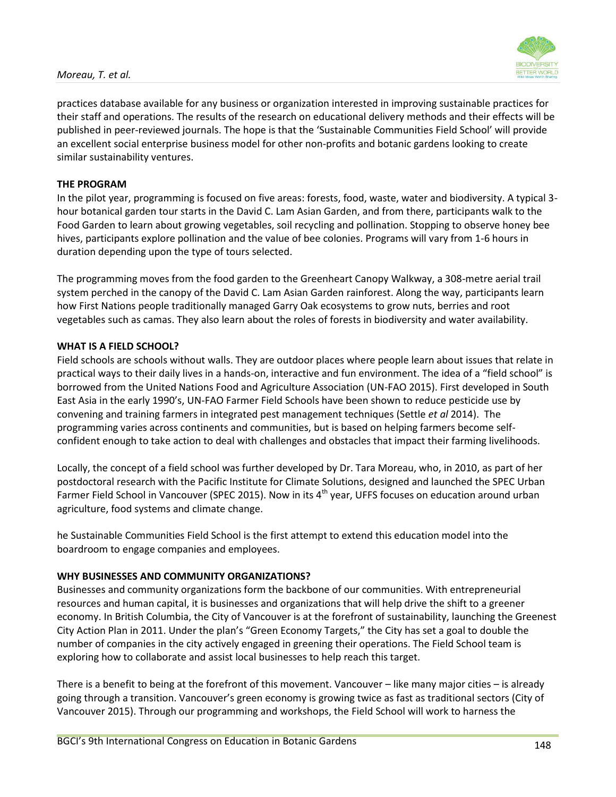### *Moreau, T. et al.*



practices database available for any business or organization interested in improving sustainable practices for their staff and operations. The results of the research on educational delivery methods and their effects will be published in peer-reviewed journals. The hope is that the 'Sustainable Communities Field School' will provide an excellent social enterprise business model for other non-profits and botanic gardens looking to create similar sustainability ventures.

# **THE PROGRAM**

In the pilot year, programming is focused on five areas: forests, food, waste, water and biodiversity. A typical 3 hour botanical garden tour starts in the David C. Lam Asian Garden, and from there, participants walk to the Food Garden to learn about growing vegetables, soil recycling and pollination. Stopping to observe honey bee hives, participants explore pollination and the value of bee colonies. Programs will vary from 1-6 hours in duration depending upon the type of tours selected.

The programming moves from the food garden to the Greenheart Canopy Walkway, a 308-metre aerial trail system perched in the canopy of the David C. Lam Asian Garden rainforest. Along the way, participants learn how First Nations people traditionally managed Garry Oak ecosystems to grow nuts, berries and root vegetables such as camas. They also learn about the roles of forests in biodiversity and water availability.

### **WHAT IS A FIELD SCHOOL?**

Field schools are schools without walls. They are outdoor places where people learn about issues that relate in practical ways to their daily lives in a hands-on, interactive and fun environment. The idea of a "field school" is borrowed from the United Nations Food and Agriculture Association (UN-FAO 2015). First developed in South East Asia in the early 1990's, UN-FAO Farmer Field Schools have been shown to reduce pesticide use by convening and training farmers in integrated pest management techniques (Settle *et al* 2014). The programming varies across continents and communities, but is based on helping farmers become selfconfident enough to take action to deal with challenges and obstacles that impact their farming livelihoods.

Locally, the concept of a field school was further developed by Dr. Tara Moreau, who, in 2010, as part of her postdoctoral research with the Pacific Institute for Climate Solutions, designed and launched the SPEC Urban Farmer Field School in Vancouver (SPEC 2015). Now in its  $4<sup>th</sup>$  year, UFFS focuses on education around urban agriculture, food systems and climate change.

he Sustainable Communities Field School is the first attempt to extend this education model into the boardroom to engage companies and employees.

#### **WHY BUSINESSES AND COMMUNITY ORGANIZATIONS?**

Businesses and community organizations form the backbone of our communities. With entrepreneurial resources and human capital, it is businesses and organizations that will help drive the shift to a greener economy. In British Columbia, the City of Vancouver is at the forefront of sustainability, launching the Greenest City Action Plan in 2011. Under the plan's "Green Economy Targets," the City has set a goal to double the number of companies in the city actively engaged in greening their operations. The Field School team is exploring how to collaborate and assist local businesses to help reach this target.

There is a benefit to being at the forefront of this movement. Vancouver – like many major cities – is already going through a transition. Vancouver's green economy is growing twice as fast as traditional sectors (City of Vancouver 2015). Through our programming and workshops, the Field School will work to harness the